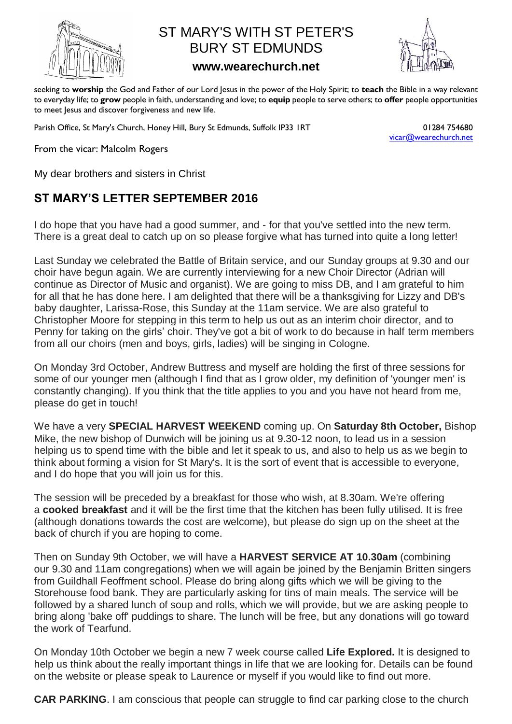

## ST MARY'S WITH ST PETER'S BURY ST EDMUNDS

## **www.wearechurch.net**



seeking to **worship** the God and Father of our Lord Jesus in the power of the Holy Spirit; to **teach** the Bible in a way relevant to everyday life; to **grow** people in faith, understanding and love; to **equip** people to serve others; to **offer** people opportunities to meet Jesus and discover forgiveness and new life.

Parish Office, St Mary's Church, Honey Hill, Bury St Edmunds, Suffolk IP33 IRT 01284 754680

[vicar@wearechurch.net](mailto:vicar@wearechurch.net)

From the vicar: Malcolm Rogers

My dear brothers and sisters in Christ

## **ST MARY'S LETTER SEPTEMBER 2016**

**I do hope that you have had a good summer, and - for that you've settled into the new term. There is a great deal to catch up on so please forgive what has turned into quite a long letter!**

**Last Sunday we celebrated the Battle of Britain service, and our Sunday groups at 9.30 and our choir have begun again. We are currently interviewing for a new Choir Director (Adrian will continue as Director of Music and organist). We are going to miss DB, and I am grateful to him for all that he has done here. I am delighted that there will be a thanksgiving for Lizzy and DB's baby daughter, Larissa-Rose, this Sunday at the 11am service. We are also grateful to Christopher Moore for stepping in this term to help us out as an interim choir director, and to Penny for taking on the girls' choir. They've got a bit of work to do because in half term members from all our choirs (men and boys, girls, ladies) will be singing in Cologne.** 

**On Monday 3rd October, Andrew Buttress and myself are holding the first of three sessions for some of our younger men (although I find that as I grow older, my definition of 'younger men' is constantly changing). If you think that the title applies to you and you have not heard from me, please do get in touch!**

**We have a very SPECIAL HARVEST WEEKEND coming up. On Saturday 8th October, Bishop Mike, the new bishop of Dunwich will be joining us at 9.30-12 noon, to lead us in a session helping us to spend time with the bible and let it speak to us, and also to help us as we begin to think about forming a vision for St Mary's. It is the sort of event that is accessible to everyone, and I do hope that you will join us for this.**

**The session will be preceded by a breakfast for those who wish, at 8.30am. We're offering a cooked breakfast and it will be the first time that the kitchen has been fully utilised. It is free (although donations towards the cost are welcome), but please do sign up on the sheet at the back of church if you are hoping to come.**

**Then on Sunday 9th October, we will have a HARVEST SERVICE AT 10.30am (combining our 9.30 and 11am congregations) when we will again be joined by the Benjamin Britten singers from Guildhall Feoffment school. Please do bring along gifts which we will be giving to the Storehouse food bank. They are particularly asking for tins of main meals. The service will be followed by a shared lunch of soup and rolls, which we will provide, but we are asking people to bring along 'bake off' puddings to share. The lunch will be free, but any donations will go toward the work of Tearfund.**

**On Monday 10th October we begin a new 7 week course called Life Explored. It is designed to help us think about the really important things in life that we are looking for. Details can be found on the website or please speak to Laurence or myself if you would like to find out more.**

**CAR PARKING. I am conscious that people can struggle to find car parking close to the church**